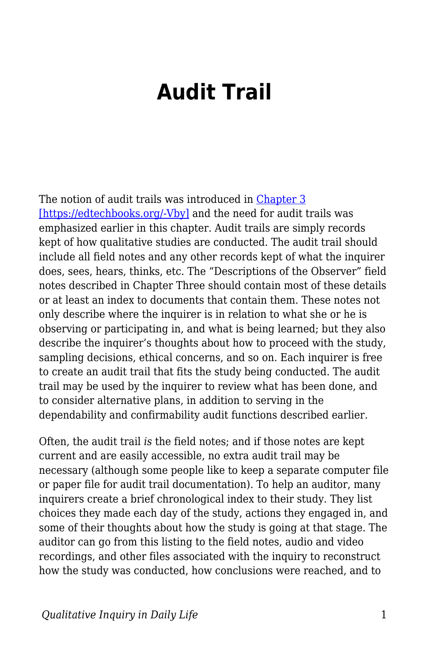## **Audit Trail**

The notion of audit trails was introduced in [Chapter 3](https://edtechbooks.org/qualitativeinquiry/keeping_a_record) [\[https://edtechbooks.org/-Vby\]](https://edtechbooks.org/qualitativeinquiry/keeping_a_record) and the need for audit trails was emphasized earlier in this chapter. Audit trails are simply records kept of how qualitative studies are conducted. The audit trail should include all field notes and any other records kept of what the inquirer does, sees, hears, thinks, etc. The "Descriptions of the Observer" field notes described in Chapter Three should contain most of these details or at least an index to documents that contain them. These notes not only describe where the inquirer is in relation to what she or he is observing or participating in, and what is being learned; but they also describe the inquirer's thoughts about how to proceed with the study, sampling decisions, ethical concerns, and so on. Each inquirer is free to create an audit trail that fits the study being conducted. The audit trail may be used by the inquirer to review what has been done, and to consider alternative plans, in addition to serving in the dependability and confirmability audit functions described earlier.

Often, the audit trail *is* the field notes; and if those notes are kept current and are easily accessible, no extra audit trail may be necessary (although some people like to keep a separate computer file or paper file for audit trail documentation). To help an auditor, many inquirers create a brief chronological index to their study. They list choices they made each day of the study, actions they engaged in, and some of their thoughts about how the study is going at that stage. The auditor can go from this listing to the field notes, audio and video recordings, and other files associated with the inquiry to reconstruct how the study was conducted, how conclusions were reached, and to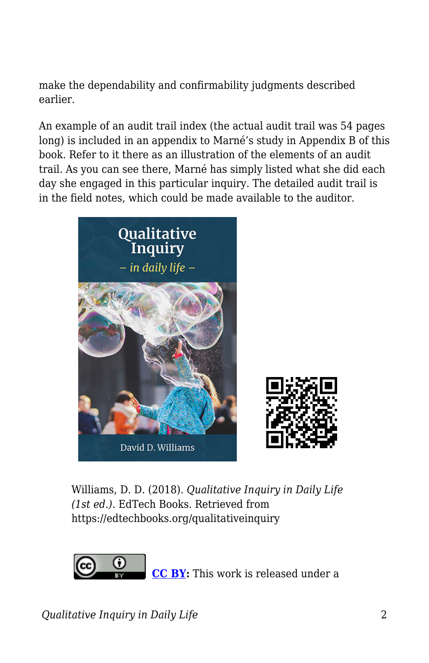make the dependability and confirmability judgments described earlier.

An example of an audit trail index (the actual audit trail was 54 pages long) is included in an appendix to Marné's study in Appendix B of this book. Refer to it there as an illustration of the elements of an audit trail. As you can see there, Marné has simply listed what she did each day she engaged in this particular inquiry. The detailed audit trail is in the field notes, which could be made available to the auditor.



Williams, D. D. (2018). *Qualitative Inquiry in Daily Life (1st ed.)*. EdTech Books. Retrieved from https://edtechbooks.org/qualitativeinquiry